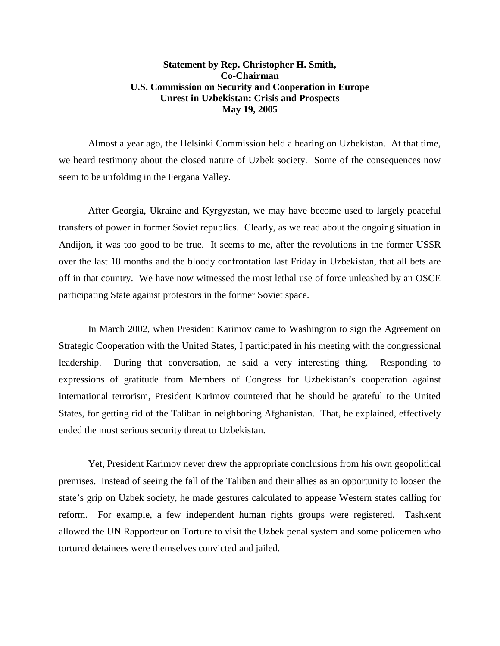## **Statement by Rep. Christopher H. Smith, Co-Chairman U.S. Commission on Security and Cooperation in Europe Unrest in Uzbekistan: Crisis and Prospects May 19, 2005**

Almost a year ago, the Helsinki Commission held a hearing on Uzbekistan. At that time, we heard testimony about the closed nature of Uzbek society. Some of the consequences now seem to be unfolding in the Fergana Valley.

After Georgia, Ukraine and Kyrgyzstan, we may have become used to largely peaceful transfers of power in former Soviet republics. Clearly, as we read about the ongoing situation in Andijon, it was too good to be true. It seems to me, after the revolutions in the former USSR over the last 18 months and the bloody confrontation last Friday in Uzbekistan, that all bets are off in that country. We have now witnessed the most lethal use of force unleashed by an OSCE participating State against protestors in the former Soviet space.

In March 2002, when President Karimov came to Washington to sign the Agreement on Strategic Cooperation with the United States, I participated in his meeting with the congressional leadership. During that conversation, he said a very interesting thing. Responding to expressions of gratitude from Members of Congress for Uzbekistan's cooperation against international terrorism, President Karimov countered that he should be grateful to the United States, for getting rid of the Taliban in neighboring Afghanistan. That, he explained, effectively ended the most serious security threat to Uzbekistan.

Yet, President Karimov never drew the appropriate conclusions from his own geopolitical premises. Instead of seeing the fall of the Taliban and their allies as an opportunity to loosen the state's grip on Uzbek society, he made gestures calculated to appease Western states calling for reform. For example, a few independent human rights groups were registered. Tashkent allowed the UN Rapporteur on Torture to visit the Uzbek penal system and some policemen who tortured detainees were themselves convicted and jailed.